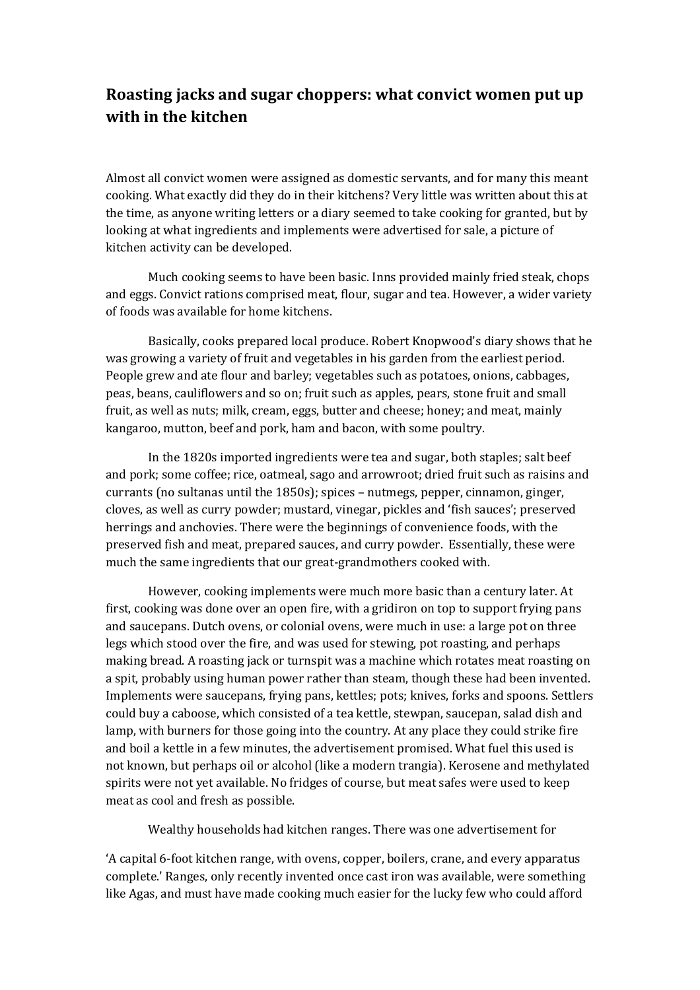## **Roasting jacks and sugar choppers: what convict women put up with in the kitchen**

Almost all convict women were assigned as domestic servants, and for many this meant cooking. What exactly did they do in their kitchens? Very little was written about this at the time, as anyone writing letters or a diary seemed to take cooking for granted, but by looking at what ingredients and implements were advertised for sale, a picture of kitchen activity can be developed.

 Much cooking seems to have been basic. Inns provided mainly fried steak, chops and eggs. Convict rations comprised meat, flour, sugar and tea. However, a wider variety of foods was available for home kitchens.

 Basically, cooks prepared local produce. Robert Knopwood's diary shows that he was growing a variety of fruit and vegetables in his garden from the earliest period. People grew and ate flour and barley; vegetables such as potatoes, onions, cabbages, peas, beans, cauliflowers and so on; fruit such as apples, pears, stone fruit and small fruit, as well as nuts; milk, cream, eggs, butter and cheese; honey; and meat, mainly kangaroo, mutton, beef and pork, ham and bacon, with some poultry.

 In the 1820s imported ingredients were tea and sugar, both staples; salt beef and pork; some coffee; rice, oatmeal, sago and arrowroot; dried fruit such as raisins and currants (no sultanas until the 1850s); spices – nutmegs, pepper, cinnamon, ginger, cloves, as well as curry powder; mustard, vinegar, pickles and 'fish sauces'; preserved herrings and anchovies. There were the beginnings of convenience foods, with the preserved fish and meat, prepared sauces, and curry powder. Essentially, these were much the same ingredients that our great-grandmothers cooked with.

 However, cooking implements were much more basic than a century later. At first, cooking was done over an open fire, with a gridiron on top to support frying pans and saucepans. Dutch ovens, or colonial ovens, were much in use: a large pot on three legs which stood over the fire, and was used for stewing, pot roasting, and perhaps making bread. A roasting jack or turnspit was a machine which rotates meat roasting on a spit, probably using human power rather than steam, though these had been invented. Implements were saucepans, frying pans, kettles; pots; knives, forks and spoons. Settlers could buy a caboose, which consisted of a tea kettle, stewpan, saucepan, salad dish and lamp, with burners for those going into the country. At any place they could strike fire and boil a kettle in a few minutes, the advertisement promised. What fuel this used is not known, but perhaps oil or alcohol (like a modern trangia). Kerosene and methylated spirits were not yet available. No fridges of course, but meat safes were used to keep meat as cool and fresh as possible.

Wealthy households had kitchen ranges. There was one advertisement for

'A capital 6-foot kitchen range, with ovens, copper, boilers, crane, and every apparatus complete.' Ranges, only recently invented once cast iron was available, were something like Agas, and must have made cooking much easier for the lucky few who could afford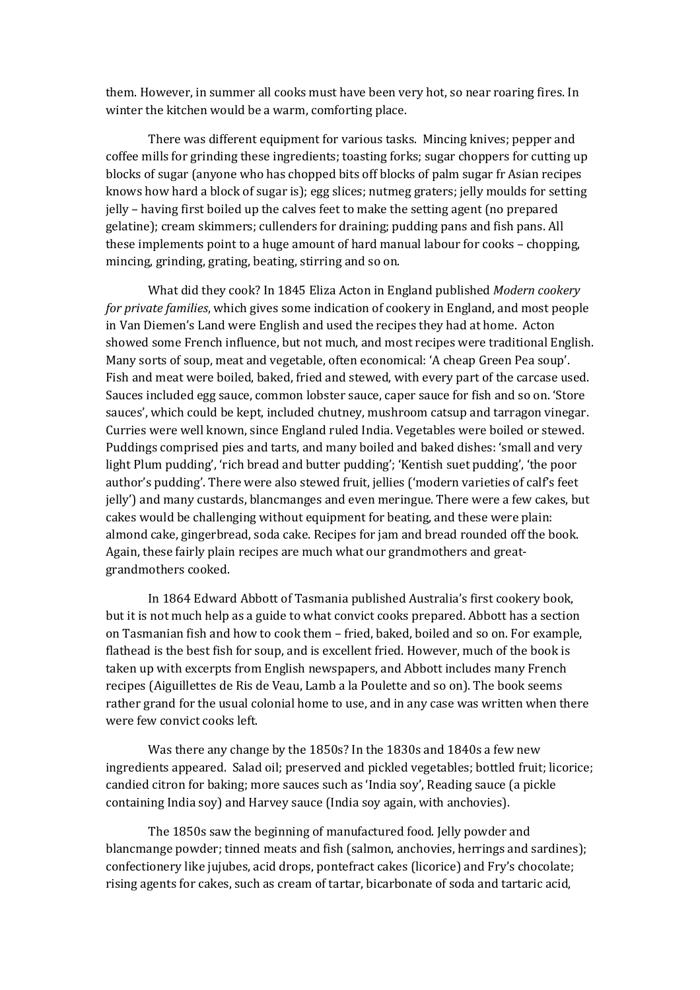them. However, in summer all cooks must have been very hot, so near roaring fires. In winter the kitchen would be a warm, comforting place.

 There was different equipment for various tasks. Mincing knives; pepper and coffee mills for grinding these ingredients; toasting forks; sugar choppers for cutting up blocks of sugar (anyone who has chopped bits off blocks of palm sugar fr Asian recipes knows how hard a block of sugar is); egg slices; nutmeg graters; jelly moulds for setting jelly – having first boiled up the calves feet to make the setting agent (no prepared gelatine); cream skimmers; cullenders for draining; pudding pans and fish pans. All these implements point to a huge amount of hard manual labour for cooks – chopping, mincing, grinding, grating, beating, stirring and so on.

What did they cook? In 1845 Eliza Acton in England published *Modern cookery for private families*, which gives some indication of cookery in England, and most people in Van Diemen's Land were English and used the recipes they had at home. Acton showed some French influence, but not much, and most recipes were traditional English. Many sorts of soup, meat and vegetable, often economical: 'A cheap Green Pea soup'. Fish and meat were boiled, baked, fried and stewed, with every part of the carcase used. Sauces included egg sauce, common lobster sauce, caper sauce for fish and so on. 'Store sauces', which could be kept, included chutney, mushroom catsup and tarragon vinegar. Curries were well known, since England ruled India. Vegetables were boiled or stewed. Puddings comprised pies and tarts, and many boiled and baked dishes: 'small and very light Plum pudding', 'rich bread and butter pudding'; 'Kentish suet pudding', 'the poor author's pudding'. There were also stewed fruit, jellies ('modern varieties of calf's feet jelly') and many custards, blancmanges and even meringue. There were a few cakes, but cakes would be challenging without equipment for beating, and these were plain: almond cake, gingerbread, soda cake. Recipes for jam and bread rounded off the book. Again, these fairly plain recipes are much what our grandmothers and greatgrandmothers cooked.

In 1864 Edward Abbott of Tasmania published Australia's first cookery book, but it is not much help as a guide to what convict cooks prepared. Abbott has a section on Tasmanian fish and how to cook them – fried, baked, boiled and so on. For example, flathead is the best fish for soup, and is excellent fried. However, much of the book is taken up with excerpts from English newspapers, and Abbott includes many French recipes (Aiguillettes de Ris de Veau, Lamb a la Poulette and so on). The book seems rather grand for the usual colonial home to use, and in any case was written when there were few convict cooks left.

Was there any change by the 1850s? In the 1830s and 1840s a few new ingredients appeared. Salad oil; preserved and pickled vegetables; bottled fruit; licorice; candied citron for baking; more sauces such as 'India soy', Reading sauce (a pickle containing India soy) and Harvey sauce (India soy again, with anchovies).

The 1850s saw the beginning of manufactured food. Jelly powder and blancmange powder; tinned meats and fish (salmon, anchovies, herrings and sardines); confectionery like jujubes, acid drops, pontefract cakes (licorice) and Fry's chocolate; rising agents for cakes, such as cream of tartar, bicarbonate of soda and tartaric acid,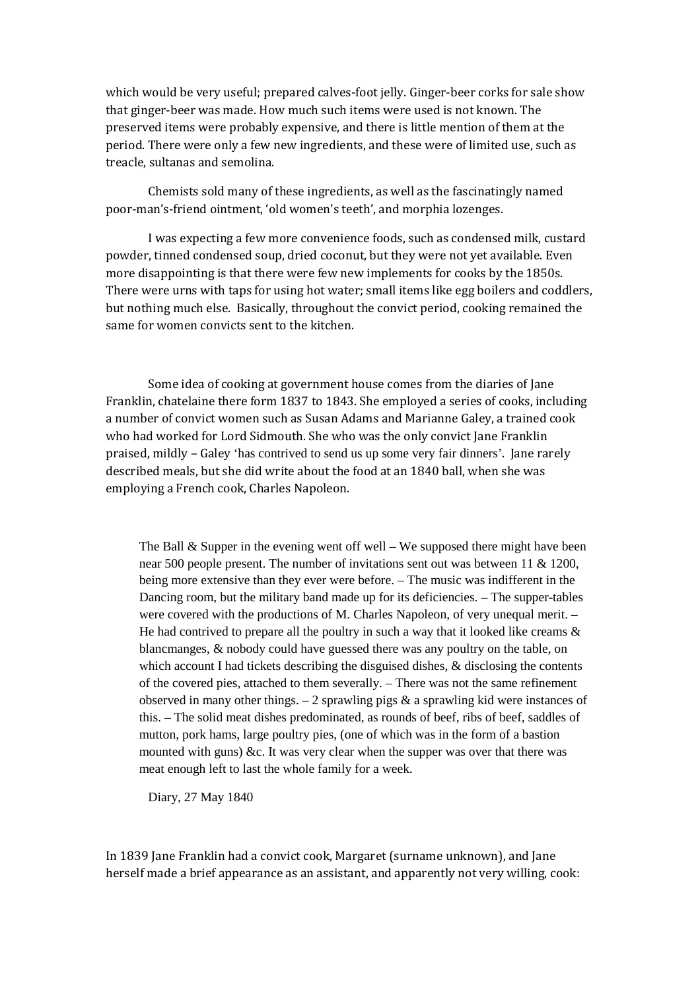which would be very useful; prepared calves-foot jelly. Ginger-beer corks for sale show that ginger-beer was made. How much such items were used is not known. The preserved items were probably expensive, and there is little mention of them at the period. There were only a few new ingredients, and these were of limited use, such as treacle, sultanas and semolina.

Chemists sold many of these ingredients, as well as the fascinatingly named poor-man's-friend ointment, 'old women's teeth', and morphia lozenges.

I was expecting a few more convenience foods, such as condensed milk, custard powder, tinned condensed soup, dried coconut, but they were not yet available. Even more disappointing is that there were few new implements for cooks by the 1850s. There were urns with taps for using hot water; small items like egg boilers and coddlers, but nothing much else. Basically, throughout the convict period, cooking remained the same for women convicts sent to the kitchen.

Some idea of cooking at government house comes from the diaries of Jane Franklin, chatelaine there form 1837 to 1843. She employed a series of cooks, including a number of convict women such as Susan Adams and Marianne Galey, a trained cook who had worked for Lord Sidmouth. She who was the only convict Jane Franklin praised, mildly – Galey 'has contrived to send us up some very fair dinners'. Jane rarely described meals, but she did write about the food at an 1840 ball, when she was employing a French cook, Charles Napoleon.

The Ball  $\&$  Supper in the evening went off well – We supposed there might have been near 500 people present. The number of invitations sent out was between 11 & 1200, being more extensive than they ever were before. – The music was indifferent in the Dancing room, but the military band made up for its deficiencies. – The supper-tables were covered with the productions of M. Charles Napoleon, of very unequal merit. – He had contrived to prepare all the poultry in such a way that it looked like creams  $\&$ blancmanges, & nobody could have guessed there was any poultry on the table, on which account I had tickets describing the disguised dishes, & disclosing the contents of the covered pies, attached to them severally. – There was not the same refinement observed in many other things.  $-2$  sprawling pigs  $\&$  a sprawling kid were instances of this. – The solid meat dishes predominated, as rounds of beef, ribs of beef, saddles of mutton, pork hams, large poultry pies, (one of which was in the form of a bastion mounted with guns) &c. It was very clear when the supper was over that there was meat enough left to last the whole family for a week.

Diary, 27 May 1840

In 1839 Jane Franklin had a convict cook, Margaret (surname unknown), and Jane herself made a brief appearance as an assistant, and apparently not very willing, cook: